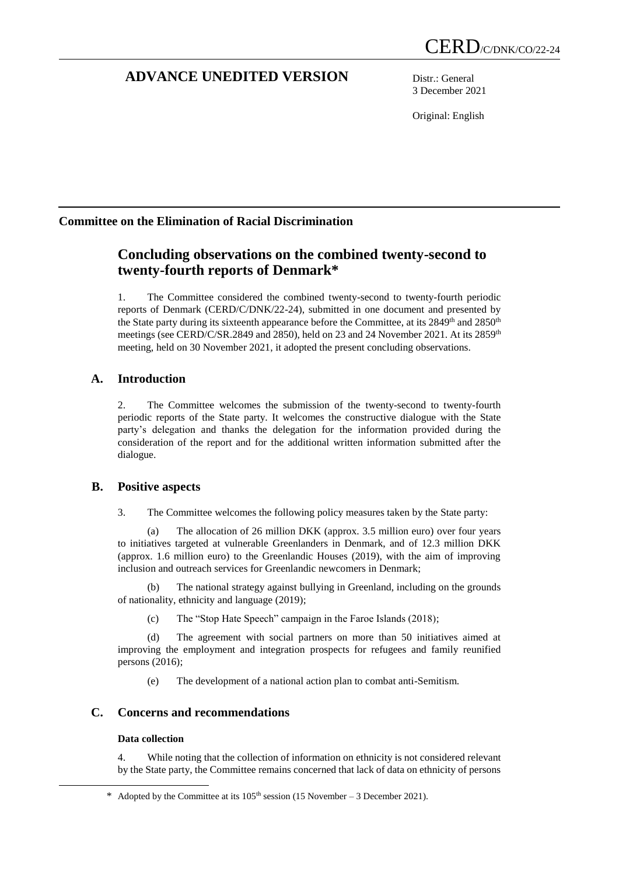# **ADVANCE UNEDITED VERSION** Distr.: General

3 December 2021

Original: English

## **Committee on the Elimination of Racial Discrimination**

# **Concluding observations on the combined twenty-second to twenty-fourth reports of Denmark\***

1. The Committee considered the combined twenty-second to twenty-fourth periodic reports of Denmark (CERD/C/DNK/22-24), submitted in one document and presented by the State party during its sixteenth appearance before the Committee, at its 2849<sup>th</sup> and 2850<sup>th</sup> meetings (see CERD/C/SR.2849 and 2850), held on 23 and 24 November 2021. At its 2859<sup>th</sup> meeting, held on 30 November 2021, it adopted the present concluding observations.

## **A. Introduction**

2. The Committee welcomes the submission of the twenty-second to twenty-fourth periodic reports of the State party. It welcomes the constructive dialogue with the State party's delegation and thanks the delegation for the information provided during the consideration of the report and for the additional written information submitted after the dialogue.

## **B. Positive aspects**

3. The Committee welcomes the following policy measures taken by the State party:

(a) The allocation of 26 million DKK (approx. 3.5 million euro) over four years to initiatives targeted at vulnerable Greenlanders in Denmark, and of 12.3 million DKK (approx. 1.6 million euro) to the Greenlandic Houses (2019), with the aim of improving inclusion and outreach services for Greenlandic newcomers in Denmark;

(b) The national strategy against bullying in Greenland, including on the grounds of nationality, ethnicity and language (2019);

(c) The "Stop Hate Speech" campaign in the Faroe Islands (2018);

(d) The agreement with social partners on more than 50 initiatives aimed at improving the employment and integration prospects for refugees and family reunified persons (2016);

(e) The development of a national action plan to combat anti-Semitism.

## **C. Concerns and recommendations**

## **Data collection**

1

4. While noting that the collection of information on ethnicity is not considered relevant by the State party, the Committee remains concerned that lack of data on ethnicity of persons

<sup>\*</sup> Adopted by the Committee at its  $105<sup>th</sup>$  session (15 November – 3 December 2021).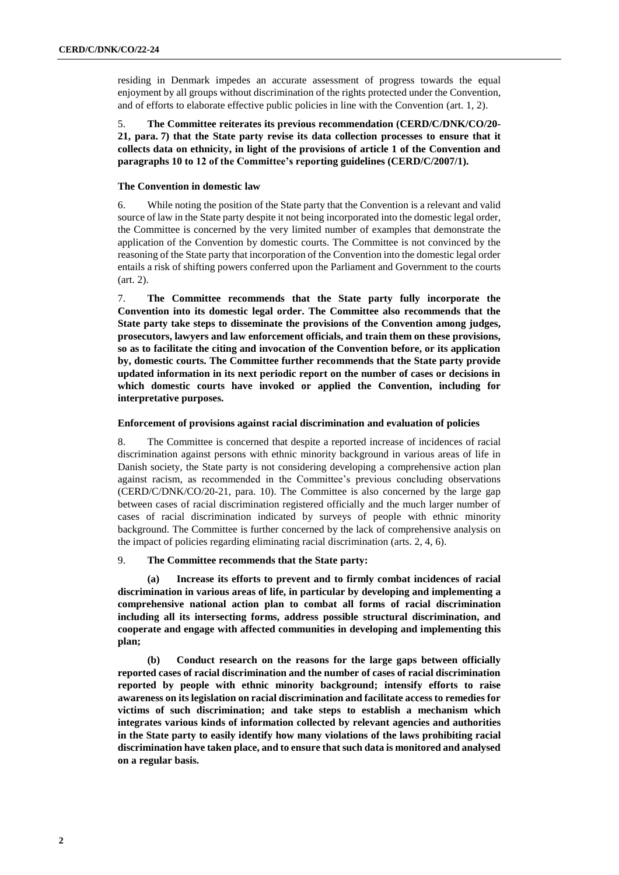residing in Denmark impedes an accurate assessment of progress towards the equal enjoyment by all groups without discrimination of the rights protected under the Convention, and of efforts to elaborate effective public policies in line with the Convention (art. 1, 2).

5. **The Committee reiterates its previous recommendation (CERD/C/DNK/CO/20- 21, para. 7) that the State party revise its data collection processes to ensure that it collects data on ethnicity, in light of the provisions of article 1 of the Convention and paragraphs 10 to 12 of the Committee's reporting guidelines (CERD/C/2007/1).**

## **The Convention in domestic law**

6. While noting the position of the State party that the Convention is a relevant and valid source of law in the State party despite it not being incorporated into the domestic legal order, the Committee is concerned by the very limited number of examples that demonstrate the application of the Convention by domestic courts. The Committee is not convinced by the reasoning of the State party that incorporation of the Convention into the domestic legal order entails a risk of shifting powers conferred upon the Parliament and Government to the courts (art. 2).

7. **The Committee recommends that the State party fully incorporate the Convention into its domestic legal order. The Committee also recommends that the State party take steps to disseminate the provisions of the Convention among judges, prosecutors, lawyers and law enforcement officials, and train them on these provisions, so as to facilitate the citing and invocation of the Convention before, or its application by, domestic courts. The Committee further recommends that the State party provide updated information in its next periodic report on the number of cases or decisions in which domestic courts have invoked or applied the Convention, including for interpretative purposes.**

## **Enforcement of provisions against racial discrimination and evaluation of policies**

8. The Committee is concerned that despite a reported increase of incidences of racial discrimination against persons with ethnic minority background in various areas of life in Danish society, the State party is not considering developing a comprehensive action plan against racism, as recommended in the Committee's previous concluding observations (CERD/C/DNK/CO/20-21, para. 10). The Committee is also concerned by the large gap between cases of racial discrimination registered officially and the much larger number of cases of racial discrimination indicated by surveys of people with ethnic minority background. The Committee is further concerned by the lack of comprehensive analysis on the impact of policies regarding eliminating racial discrimination (arts. 2, 4, 6).

## 9. **The Committee recommends that the State party:**

**(a) Increase its efforts to prevent and to firmly combat incidences of racial discrimination in various areas of life, in particular by developing and implementing a comprehensive national action plan to combat all forms of racial discrimination including all its intersecting forms, address possible structural discrimination, and cooperate and engage with affected communities in developing and implementing this plan;**

**(b) Conduct research on the reasons for the large gaps between officially reported cases of racial discrimination and the number of cases of racial discrimination reported by people with ethnic minority background; intensify efforts to raise awareness on its legislation on racial discrimination and facilitate access to remedies for victims of such discrimination; and take steps to establish a mechanism which integrates various kinds of information collected by relevant agencies and authorities in the State party to easily identify how many violations of the laws prohibiting racial discrimination have taken place, and to ensure that such data is monitored and analysed on a regular basis.**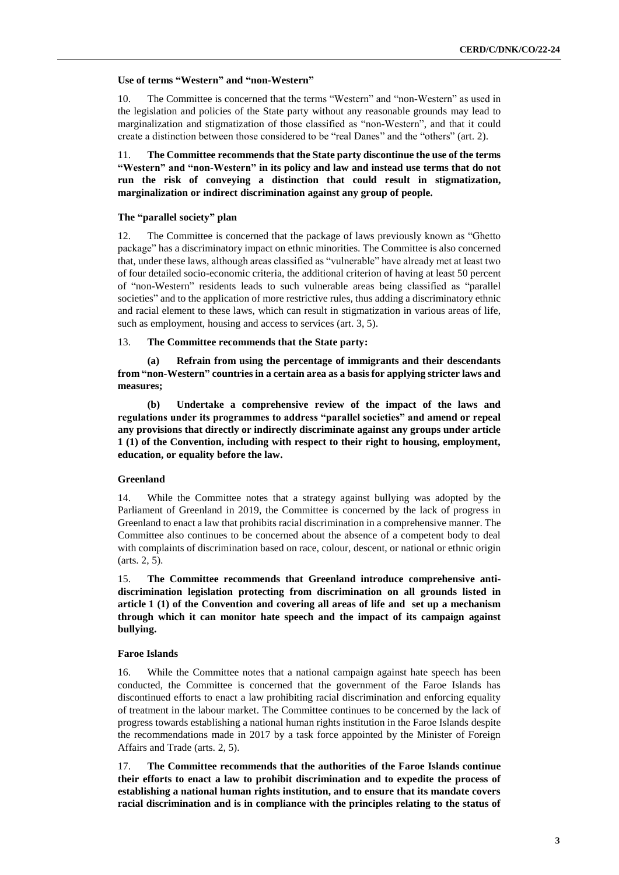## **Use of terms "Western" and "non-Western"**

10. The Committee is concerned that the terms "Western" and "non-Western" as used in the legislation and policies of the State party without any reasonable grounds may lead to marginalization and stigmatization of those classified as "non-Western", and that it could create a distinction between those considered to be "real Danes" and the "others" (art. 2).

11. **The Committee recommends that the State party discontinue the use of the terms "Western" and "non-Western" in its policy and law and instead use terms that do not run the risk of conveying a distinction that could result in stigmatization, marginalization or indirect discrimination against any group of people.**

#### **The "parallel society" plan**

12. The Committee is concerned that the package of laws previously known as "Ghetto package" has a discriminatory impact on ethnic minorities. The Committee is also concerned that, under these laws, although areas classified as "vulnerable" have already met at least two of four detailed socio-economic criteria, the additional criterion of having at least 50 percent of "non-Western" residents leads to such vulnerable areas being classified as "parallel societies" and to the application of more restrictive rules, thus adding a discriminatory ethnic and racial element to these laws, which can result in stigmatization in various areas of life, such as employment, housing and access to services (art. 3, 5).

#### 13. **The Committee recommends that the State party:**

**(a) Refrain from using the percentage of immigrants and their descendants from "non-Western" countries in a certain area as a basis for applying stricter laws and measures;** 

**(b) Undertake a comprehensive review of the impact of the laws and regulations under its programmes to address "parallel societies" and amend or repeal any provisions that directly or indirectly discriminate against any groups under article 1 (1) of the Convention, including with respect to their right to housing, employment, education, or equality before the law.**

### **Greenland**

14. While the Committee notes that a strategy against bullying was adopted by the Parliament of Greenland in 2019, the Committee is concerned by the lack of progress in Greenland to enact a law that prohibits racial discrimination in a comprehensive manner. The Committee also continues to be concerned about the absence of a competent body to deal with complaints of discrimination based on race, colour, descent, or national or ethnic origin (arts. 2, 5).

15. **The Committee recommends that Greenland introduce comprehensive antidiscrimination legislation protecting from discrimination on all grounds listed in article 1 (1) of the Convention and covering all areas of life and set up a mechanism through which it can monitor hate speech and the impact of its campaign against bullying.**

### **Faroe Islands**

16. While the Committee notes that a national campaign against hate speech has been conducted, the Committee is concerned that the government of the Faroe Islands has discontinued efforts to enact a law prohibiting racial discrimination and enforcing equality of treatment in the labour market. The Committee continues to be concerned by the lack of progress towards establishing a national human rights institution in the Faroe Islands despite the recommendations made in 2017 by a task force appointed by the Minister of Foreign Affairs and Trade (arts. 2, 5).

17. **The Committee recommends that the authorities of the Faroe Islands continue their efforts to enact a law to prohibit discrimination and to expedite the process of establishing a national human rights institution, and to ensure that its mandate covers racial discrimination and is in compliance with the principles relating to the status of**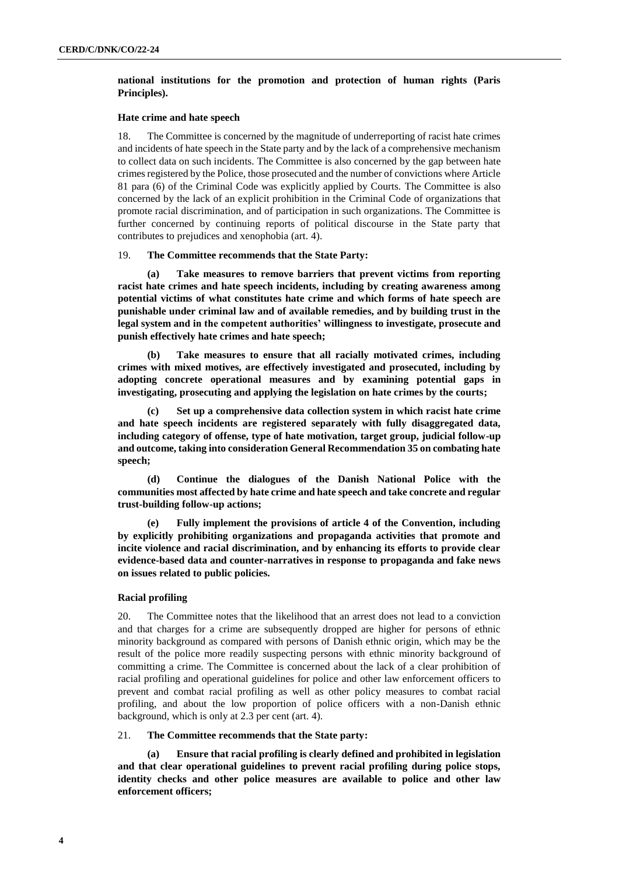## **national institutions for the promotion and protection of human rights (Paris Principles).**

#### **Hate crime and hate speech**

18. The Committee is concerned by the magnitude of underreporting of racist hate crimes and incidents of hate speech in the State party and by the lack of a comprehensive mechanism to collect data on such incidents. The Committee is also concerned by the gap between hate crimes registered by the Police, those prosecuted and the number of convictions where Article 81 para (6) of the Criminal Code was explicitly applied by Courts. The Committee is also concerned by the lack of an explicit prohibition in the Criminal Code of organizations that promote racial discrimination, and of participation in such organizations. The Committee is further concerned by continuing reports of political discourse in the State party that contributes to prejudices and xenophobia (art. 4).

## 19. **The Committee recommends that the State Party:**

**(a) Take measures to remove barriers that prevent victims from reporting racist hate crimes and hate speech incidents, including by creating awareness among potential victims of what constitutes hate crime and which forms of hate speech are punishable under criminal law and of available remedies, and by building trust in the legal system and in the competent authorities' willingness to investigate, prosecute and punish effectively hate crimes and hate speech;**

**(b) Take measures to ensure that all racially motivated crimes, including crimes with mixed motives, are effectively investigated and prosecuted, including by adopting concrete operational measures and by examining potential gaps in investigating, prosecuting and applying the legislation on hate crimes by the courts;**

**(c) Set up a comprehensive data collection system in which racist hate crime and hate speech incidents are registered separately with fully disaggregated data, including category of offense, type of hate motivation, target group, judicial follow-up and outcome, taking into consideration General Recommendation 35 on combating hate speech;**

**(d) Continue the dialogues of the Danish National Police with the communities most affected by hate crime and hate speech and take concrete and regular trust-building follow-up actions;**

**(e) Fully implement the provisions of article 4 of the Convention, including by explicitly prohibiting organizations and propaganda activities that promote and incite violence and racial discrimination, and by enhancing its efforts to provide clear evidence-based data and counter-narratives in response to propaganda and fake news on issues related to public policies.**

## **Racial profiling**

20. The Committee notes that the likelihood that an arrest does not lead to a conviction and that charges for a crime are subsequently dropped are higher for persons of ethnic minority background as compared with persons of Danish ethnic origin, which may be the result of the police more readily suspecting persons with ethnic minority background of committing a crime. The Committee is concerned about the lack of a clear prohibition of racial profiling and operational guidelines for police and other law enforcement officers to prevent and combat racial profiling as well as other policy measures to combat racial profiling, and about the low proportion of police officers with a non-Danish ethnic background, which is only at 2.3 per cent (art. 4).

#### 21. **The Committee recommends that the State party:**

**(a) Ensure that racial profiling is clearly defined and prohibited in legislation and that clear operational guidelines to prevent racial profiling during police stops, identity checks and other police measures are available to police and other law enforcement officers;**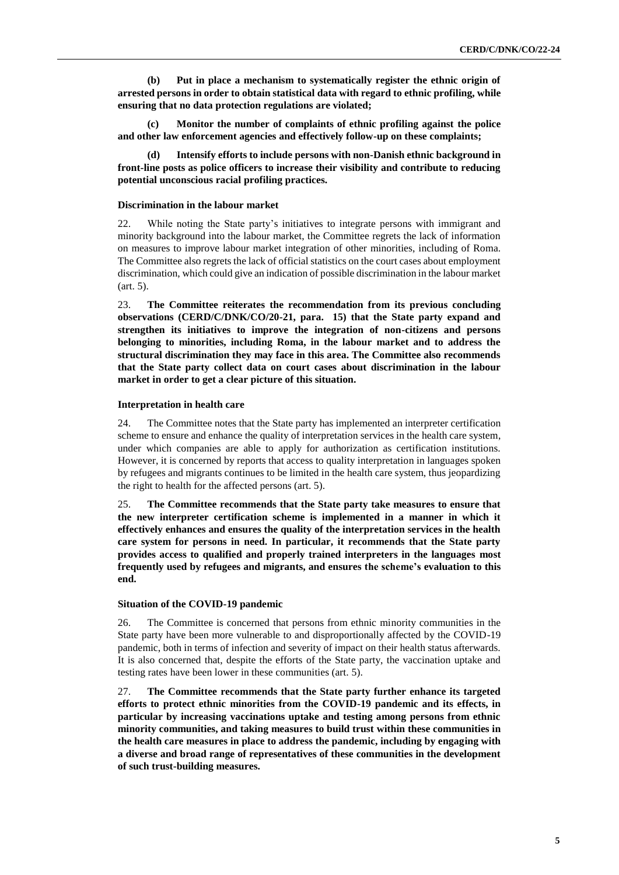**(b) Put in place a mechanism to systematically register the ethnic origin of arrested persons in order to obtain statistical data with regard to ethnic profiling, while ensuring that no data protection regulations are violated;** 

**(c) Monitor the number of complaints of ethnic profiling against the police and other law enforcement agencies and effectively follow-up on these complaints;** 

**(d) Intensify efforts to include persons with non-Danish ethnic background in front-line posts as police officers to increase their visibility and contribute to reducing potential unconscious racial profiling practices.**

#### **Discrimination in the labour market**

22. While noting the State party's initiatives to integrate persons with immigrant and minority background into the labour market, the Committee regrets the lack of information on measures to improve labour market integration of other minorities, including of Roma. The Committee also regrets the lack of official statistics on the court cases about employment discrimination, which could give an indication of possible discrimination in the labour market (art. 5).

23. **The Committee reiterates the recommendation from its previous concluding observations (CERD/C/DNK/CO/20-21, para. 15) that the State party expand and strengthen its initiatives to improve the integration of non-citizens and persons belonging to minorities, including Roma, in the labour market and to address the structural discrimination they may face in this area. The Committee also recommends that the State party collect data on court cases about discrimination in the labour market in order to get a clear picture of this situation.** 

#### **Interpretation in health care**

24. The Committee notes that the State party has implemented an interpreter certification scheme to ensure and enhance the quality of interpretation services in the health care system, under which companies are able to apply for authorization as certification institutions. However, it is concerned by reports that access to quality interpretation in languages spoken by refugees and migrants continues to be limited in the health care system, thus jeopardizing the right to health for the affected persons (art. 5).

25. **The Committee recommends that the State party take measures to ensure that the new interpreter certification scheme is implemented in a manner in which it effectively enhances and ensures the quality of the interpretation services in the health care system for persons in need. In particular, it recommends that the State party provides access to qualified and properly trained interpreters in the languages most frequently used by refugees and migrants, and ensures the scheme's evaluation to this end.** 

#### **Situation of the COVID-19 pandemic**

26. The Committee is concerned that persons from ethnic minority communities in the State party have been more vulnerable to and disproportionally affected by the COVID-19 pandemic, both in terms of infection and severity of impact on their health status afterwards. It is also concerned that, despite the efforts of the State party, the vaccination uptake and testing rates have been lower in these communities (art. 5).

27. **The Committee recommends that the State party further enhance its targeted efforts to protect ethnic minorities from the COVID-19 pandemic and its effects, in particular by increasing vaccinations uptake and testing among persons from ethnic minority communities, and taking measures to build trust within these communities in the health care measures in place to address the pandemic, including by engaging with a diverse and broad range of representatives of these communities in the development of such trust-building measures.**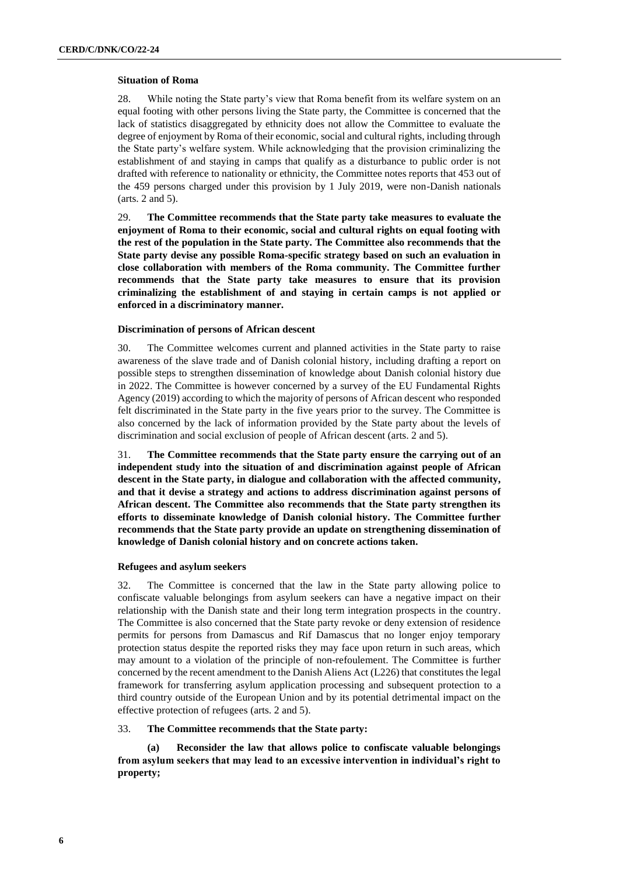### **Situation of Roma**

28. While noting the State party's view that Roma benefit from its welfare system on an equal footing with other persons living the State party, the Committee is concerned that the lack of statistics disaggregated by ethnicity does not allow the Committee to evaluate the degree of enjoyment by Roma of their economic, social and cultural rights, including through the State party's welfare system. While acknowledging that the provision criminalizing the establishment of and staying in camps that qualify as a disturbance to public order is not drafted with reference to nationality or ethnicity, the Committee notes reports that 453 out of the 459 persons charged under this provision by 1 July 2019, were non-Danish nationals (arts. 2 and 5).

29. **The Committee recommends that the State party take measures to evaluate the enjoyment of Roma to their economic, social and cultural rights on equal footing with the rest of the population in the State party. The Committee also recommends that the State party devise any possible Roma-specific strategy based on such an evaluation in close collaboration with members of the Roma community. The Committee further recommends that the State party take measures to ensure that its provision criminalizing the establishment of and staying in certain camps is not applied or enforced in a discriminatory manner.**

### **Discrimination of persons of African descent**

30. The Committee welcomes current and planned activities in the State party to raise awareness of the slave trade and of Danish colonial history, including drafting a report on possible steps to strengthen dissemination of knowledge about Danish colonial history due in 2022. The Committee is however concerned by a survey of the EU Fundamental Rights Agency (2019) according to which the majority of persons of African descent who responded felt discriminated in the State party in the five years prior to the survey. The Committee is also concerned by the lack of information provided by the State party about the levels of discrimination and social exclusion of people of African descent (arts. 2 and 5).

31. **The Committee recommends that the State party ensure the carrying out of an independent study into the situation of and discrimination against people of African descent in the State party, in dialogue and collaboration with the affected community, and that it devise a strategy and actions to address discrimination against persons of African descent. The Committee also recommends that the State party strengthen its efforts to disseminate knowledge of Danish colonial history. The Committee further recommends that the State party provide an update on strengthening dissemination of knowledge of Danish colonial history and on concrete actions taken.** 

## **Refugees and asylum seekers**

32. The Committee is concerned that the law in the State party allowing police to confiscate valuable belongings from asylum seekers can have a negative impact on their relationship with the Danish state and their long term integration prospects in the country. The Committee is also concerned that the State party revoke or deny extension of residence permits for persons from Damascus and Rif Damascus that no longer enjoy temporary protection status despite the reported risks they may face upon return in such areas, which may amount to a violation of the principle of non-refoulement. The Committee is further concerned by the recent amendment to the Danish Aliens Act (L226) that constitutes the legal framework for transferring asylum application processing and subsequent protection to a third country outside of the European Union and by its potential detrimental impact on the effective protection of refugees (arts. 2 and 5).

## 33. **The Committee recommends that the State party:**

**(a) Reconsider the law that allows police to confiscate valuable belongings from asylum seekers that may lead to an excessive intervention in individual's right to property;**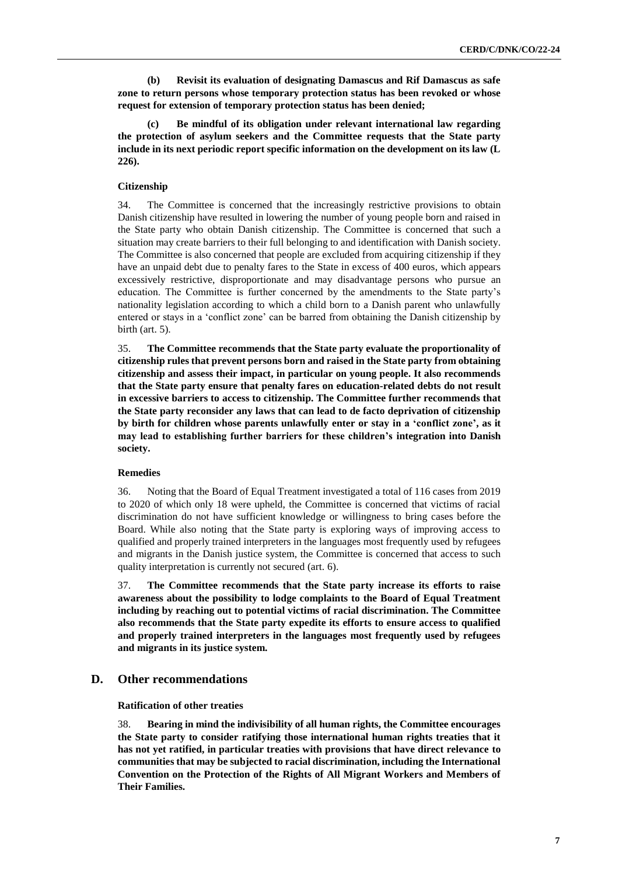**(b) Revisit its evaluation of designating Damascus and Rif Damascus as safe zone to return persons whose temporary protection status has been revoked or whose request for extension of temporary protection status has been denied;**

**(c) Be mindful of its obligation under relevant international law regarding the protection of asylum seekers and the Committee requests that the State party include in its next periodic report specific information on the development on its law (L 226).**

## **Citizenship**

34. The Committee is concerned that the increasingly restrictive provisions to obtain Danish citizenship have resulted in lowering the number of young people born and raised in the State party who obtain Danish citizenship. The Committee is concerned that such a situation may create barriers to their full belonging to and identification with Danish society. The Committee is also concerned that people are excluded from acquiring citizenship if they have an unpaid debt due to penalty fares to the State in excess of 400 euros, which appears excessively restrictive, disproportionate and may disadvantage persons who pursue an education. The Committee is further concerned by the amendments to the State party's nationality legislation according to which a child born to a Danish parent who unlawfully entered or stays in a 'conflict zone' can be barred from obtaining the Danish citizenship by birth (art. 5).

35. **The Committee recommends that the State party evaluate the proportionality of citizenship rules that prevent persons born and raised in the State party from obtaining citizenship and assess their impact, in particular on young people. It also recommends that the State party ensure that penalty fares on education-related debts do not result in excessive barriers to access to citizenship. The Committee further recommends that the State party reconsider any laws that can lead to de facto deprivation of citizenship by birth for children whose parents unlawfully enter or stay in a 'conflict zone', as it may lead to establishing further barriers for these children's integration into Danish society.** 

## **Remedies**

36. Noting that the Board of Equal Treatment investigated a total of 116 cases from 2019 to 2020 of which only 18 were upheld, the Committee is concerned that victims of racial discrimination do not have sufficient knowledge or willingness to bring cases before the Board. While also noting that the State party is exploring ways of improving access to qualified and properly trained interpreters in the languages most frequently used by refugees and migrants in the Danish justice system, the Committee is concerned that access to such quality interpretation is currently not secured (art. 6).

37. **The Committee recommends that the State party increase its efforts to raise awareness about the possibility to lodge complaints to the Board of Equal Treatment including by reaching out to potential victims of racial discrimination. The Committee also recommends that the State party expedite its efforts to ensure access to qualified and properly trained interpreters in the languages most frequently used by refugees and migrants in its justice system.**

## **D. Other recommendations**

#### **Ratification of other treaties**

38. **Bearing in mind the indivisibility of all human rights, the Committee encourages the State party to consider ratifying those international human rights treaties that it has not yet ratified, in particular treaties with provisions that have direct relevance to communities that may be subjected to racial discrimination, including the International Convention on the Protection of the Rights of All Migrant Workers and Members of Their Families.**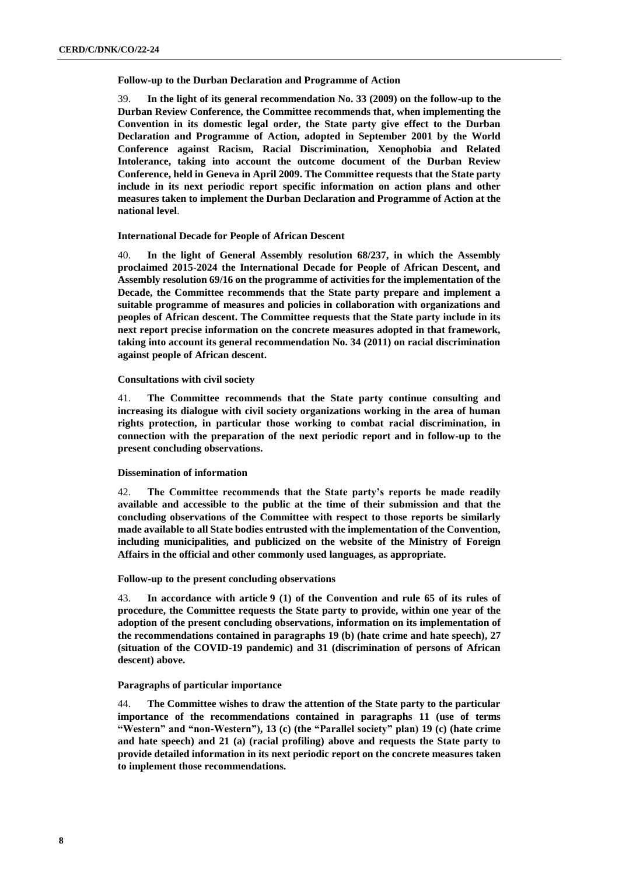**Follow-up to the Durban Declaration and Programme of Action**

39. **In the light of its general recommendation No. 33 (2009) on the follow-up to the Durban Review Conference, the Committee recommends that, when implementing the Convention in its domestic legal order, the State party give effect to the Durban Declaration and Programme of Action, adopted in September 2001 by the World Conference against Racism, Racial Discrimination, Xenophobia and Related Intolerance, taking into account the outcome document of the Durban Review Conference, held in Geneva in April 2009. The Committee requests that the State party include in its next periodic report specific information on action plans and other measures taken to implement the Durban Declaration and Programme of Action at the national level**.

#### **International Decade for People of African Descent**

40. **In the light of General Assembly resolution 68/237, in which the Assembly proclaimed 2015-2024 the International Decade for People of African Descent, and Assembly resolution 69/16 on the programme of activities for the implementation of the Decade, the Committee recommends that the State party prepare and implement a suitable programme of measures and policies in collaboration with organizations and peoples of African descent. The Committee requests that the State party include in its next report precise information on the concrete measures adopted in that framework, taking into account its general recommendation No. 34 (2011) on racial discrimination against people of African descent.**

#### **Consultations with civil society**

41. **The Committee recommends that the State party continue consulting and increasing its dialogue with civil society organizations working in the area of human rights protection, in particular those working to combat racial discrimination, in connection with the preparation of the next periodic report and in follow-up to the present concluding observations.**

## **Dissemination of information**

42. **The Committee recommends that the State party's reports be made readily available and accessible to the public at the time of their submission and that the concluding observations of the Committee with respect to those reports be similarly made available to all State bodies entrusted with the implementation of the Convention, including municipalities, and publicized on the website of the Ministry of Foreign Affairs in the official and other commonly used languages, as appropriate.**

## **Follow-up to the present concluding observations**

43. **In accordance with article 9 (1) of the Convention and rule 65 of its rules of procedure, the Committee requests the State party to provide, within one year of the adoption of the present concluding observations, information on its implementation of the recommendations contained in paragraphs 19 (b) (hate crime and hate speech), 27 (situation of the COVID-19 pandemic) and 31 (discrimination of persons of African descent) above.**

## **Paragraphs of particular importance**

44. **The Committee wishes to draw the attention of the State party to the particular importance of the recommendations contained in paragraphs 11 (use of terms "Western" and "non-Western"), 13 (c) (the "Parallel society" plan) 19 (c) (hate crime and hate speech) and 21 (a) (racial profiling) above and requests the State party to provide detailed information in its next periodic report on the concrete measures taken to implement those recommendations.**